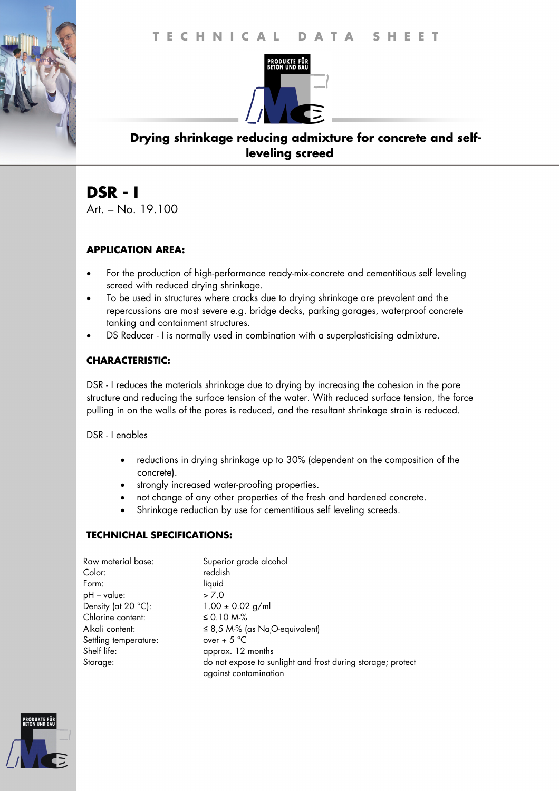

## **Drying shrinkage reducing admixture for concrete and selfleveling screed**

# **DSR - I**

Art. – No. 19.100

#### **APPLICATION AREA:**

- For the production of high-performance ready-mix-concrete and cementitious self leveling screed with reduced drying shrinkage.
- To be used in structures where cracks due to drying shrinkage are prevalent and the repercussions are most severe e.g. bridge decks, parking garages, waterproof concrete tanking and containment structures.
- DS Reducer I is normally used in combination with a superplasticising admixture.

#### **CHARACTERISTIC:**

DSR - I reduces the materials shrinkage due to drying by increasing the cohesion in the pore structure and reducing the surface tension of the water. With reduced surface tension, the force pulling in on the walls of the pores is reduced, and the resultant shrinkage strain is reduced.

DSR - I enables

- reductions in drying shrinkage up to 30% (dependent on the composition of the concrete).
- strongly increased water-proofing properties.
- not change of any other properties of the fresh and hardened concrete.
- Shrinkage reduction by use for cementitious self leveling screeds.

#### **TECHNICHAL SPECIFICATIONS:**

| Raw material base:    | Superior grade alcohol                                                               |
|-----------------------|--------------------------------------------------------------------------------------|
| Color:                | reddish                                                                              |
| Form:                 | liquid                                                                               |
| pH – value:           | > 7.0                                                                                |
| Density (at 20 °C):   | $1.00 \pm 0.02$ g/ml                                                                 |
| Chlorine content:     | ≤ 0.10 M $%$                                                                         |
| Alkali content:       | $\leq$ 8,5 M-% (as NaO-equivalent)                                                   |
| Settling temperature: | over + $5^{\circ}$ C                                                                 |
| Shelf life:           | approx. 12 months                                                                    |
| Storage:              | do not expose to sunlight and frost during storage; protect<br>against contamination |